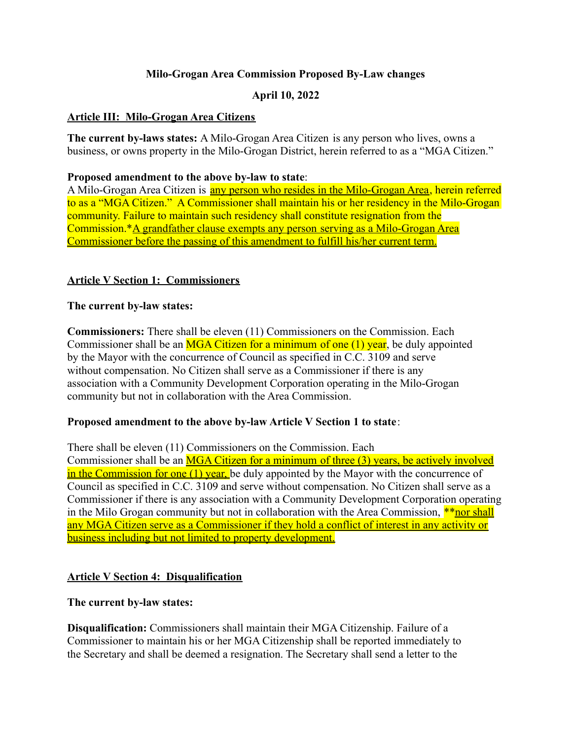# **Milo-Grogan Area Commission Proposed By-Law changes**

# **April 10, 2022**

## **Article III: Milo-Grogan Area Citizens**

**The current by-laws states:** A Milo-Grogan Area Citizen is any person who lives, owns a business, or owns property in the Milo-Grogan District, herein referred to as a "MGA Citizen."

### **Proposed amendment to the above by-law to state**:

A Milo-Grogan Area Citizen is **any person who resides in the Milo-Grogan Area**, herein referred to as a "MGA Citizen." A Commissioner shall maintain his or her residency in the Milo-Grogan community. Failure to maintain such residency shall constitute resignation from the Commission.\*A grandfather clause exempts any person serving as a Milo-Grogan Area Commissioner before the passing of this amendment to fulfill his/her current term.

## **Article V Section 1: Commissioners**

## **The current by-law states:**

**Commissioners:** There shall be eleven (11) Commissioners on the Commission. Each Commissioner shall be an MGA Citizen for a minimum of one (1) year, be duly appointed by the Mayor with the concurrence of Council as specified in C.C. 3109 and serve without compensation. No Citizen shall serve as a Commissioner if there is any association with a Community Development Corporation operating in the Milo-Grogan community but not in collaboration with the Area Commission.

## **Proposed amendment to the above by-law Article V Section 1 to state**:

There shall be eleven (11) Commissioners on the Commission. Each Commissioner shall be an MGA Citizen for a minimum of three (3) years, be actively involved in the Commission for one  $(1)$  year, be duly appointed by the Mayor with the concurrence of Council as specified in C.C. 3109 and serve without compensation. No Citizen shall serve as a Commissioner if there is any association with a Community Development Corporation operating in the Milo Grogan community but not in collaboration with the Area Commission, \*\*nor shall any MGA Citizen serve as a Commissioner if they hold a conflict of interest in any activity or business including but not limited to property development.

## **Article V Section 4: Disqualification**

## **The current by-law states:**

**Disqualification:** Commissioners shall maintain their MGA Citizenship. Failure of a Commissioner to maintain his or her MGA Citizenship shall be reported immediately to the Secretary and shall be deemed a resignation. The Secretary shall send a letter to the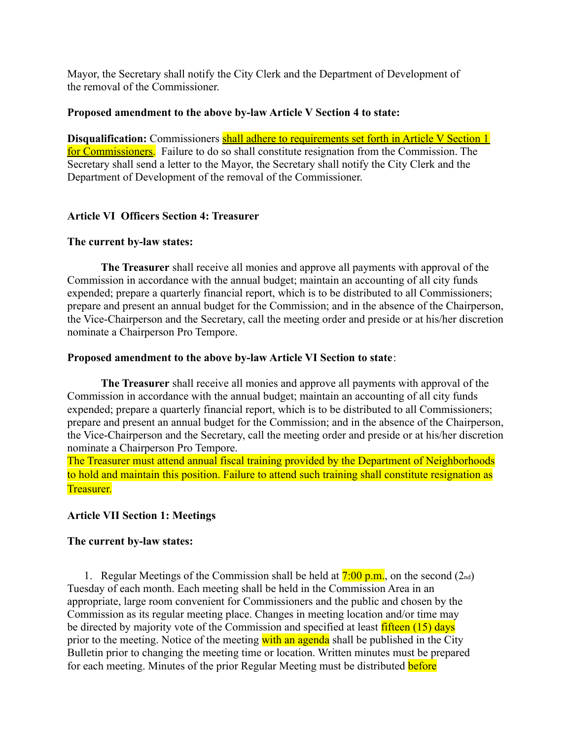Mayor, the Secretary shall notify the City Clerk and the Department of Development of the removal of the Commissioner.

## **Proposed amendment to the above by-law Article V Section 4 to state:**

**Disqualification:** Commissioners shall adhere to requirements set forth in Article V Section 1 for Commissioners. Failure to do so shall constitute resignation from the Commission. The Secretary shall send a letter to the Mayor, the Secretary shall notify the City Clerk and the Department of Development of the removal of the Commissioner.

# **Article VI Officers Section 4: Treasurer**

## **The current by-law states:**

**The Treasurer** shall receive all monies and approve all payments with approval of the Commission in accordance with the annual budget; maintain an accounting of all city funds expended; prepare a quarterly financial report, which is to be distributed to all Commissioners; prepare and present an annual budget for the Commission; and in the absence of the Chairperson, the Vice-Chairperson and the Secretary, call the meeting order and preside or at his/her discretion nominate a Chairperson Pro Tempore.

## **Proposed amendment to the above by-law Article VI Section to state**:

**The Treasurer** shall receive all monies and approve all payments with approval of the Commission in accordance with the annual budget; maintain an accounting of all city funds expended; prepare a quarterly financial report, which is to be distributed to all Commissioners; prepare and present an annual budget for the Commission; and in the absence of the Chairperson, the Vice-Chairperson and the Secretary, call the meeting order and preside or at his/her discretion nominate a Chairperson Pro Tempore.

The Treasurer must attend annual fiscal training provided by the Department of Neighborhoods to hold and maintain this position. Failure to attend such training shall constitute resignation as Treasurer.

# **Article VII Section 1: Meetings**

## **The current by-law states:**

1. Regular Meetings of the Commission shall be held at  $7:00 \text{ p.m.}$ , on the second  $(2_{nd})$ Tuesday of each month. Each meeting shall be held in the Commission Area in an appropriate, large room convenient for Commissioners and the public and chosen by the Commission as its regular meeting place. Changes in meeting location and/or time may be directed by majority vote of the Commission and specified at least fifteen (15) days prior to the meeting. Notice of the meeting with an agenda shall be published in the City Bulletin prior to changing the meeting time or location. Written minutes must be prepared for each meeting. Minutes of the prior Regular Meeting must be distributed **before**